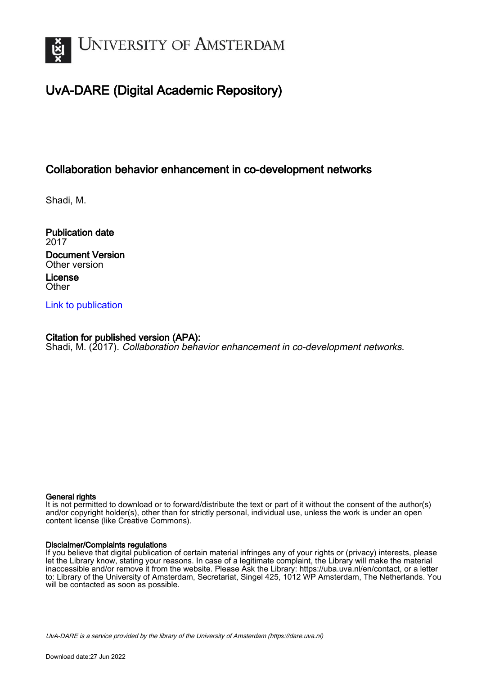

## UvA-DARE (Digital Academic Repository)

### Collaboration behavior enhancement in co-development networks

Shadi, M.

Publication date 2017 Document Version Other version License **Other** 

[Link to publication](https://dare.uva.nl/personal/pure/en/publications/collaboration-behavior-enhancement-in-codevelopment-networks(89e83407-974e-423b-b99d-d82cabb7be93).html)

### Citation for published version (APA):

Shadi, M. (2017). Collaboration behavior enhancement in co-development networks.

#### General rights

It is not permitted to download or to forward/distribute the text or part of it without the consent of the author(s) and/or copyright holder(s), other than for strictly personal, individual use, unless the work is under an open content license (like Creative Commons).

#### Disclaimer/Complaints regulations

If you believe that digital publication of certain material infringes any of your rights or (privacy) interests, please let the Library know, stating your reasons. In case of a legitimate complaint, the Library will make the material inaccessible and/or remove it from the website. Please Ask the Library: https://uba.uva.nl/en/contact, or a letter to: Library of the University of Amsterdam, Secretariat, Singel 425, 1012 WP Amsterdam, The Netherlands. You will be contacted as soon as possible.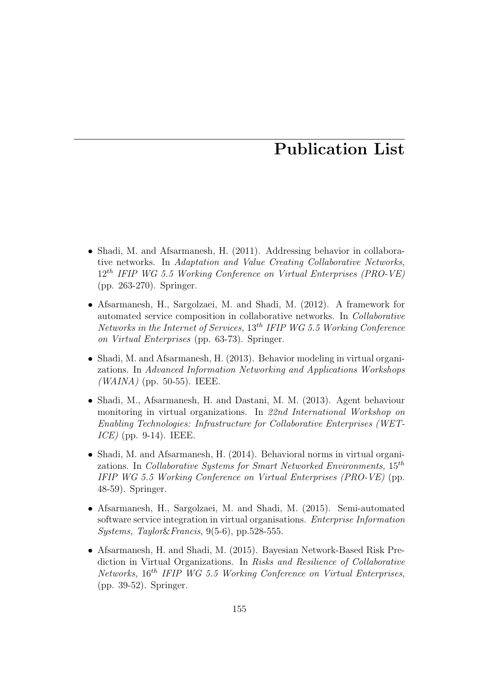## Publication List

- Shadi, M. and Afsarmanesh, H. (2011). Addressing behavior in collaborative networks. In Adaptation and Value Creating Collaborative Networks,  $12^{th}$  IFIP WG 5.5 Working Conference on Virtual Enterprises (PRO-VE) (pp. 263-270). Springer.
- Afsarmanesh, H., Sargolzaei, M. and Shadi, M. (2012). A framework for automated service composition in collaborative networks. In Collaborative Networks in the Internet of Services,  $13^{th}$  IFIP WG 5.5 Working Conference on Virtual Enterprises (pp. 63-73). Springer.
- Shadi, M. and Afsarmanesh, H. (2013). Behavior modeling in virtual organizations. In Advanced Information Networking and Applications Workshops  $(WAINA)$  (pp. 50-55). IEEE.
- Shadi, M., Afsarmanesh, H. and Dastani, M. M. (2013). Agent behaviour monitoring in virtual organizations. In 22nd International Workshop on Enabling Technologies: Infrastructure for Collaborative Enterprises (WET- $ICE$  (pp. 9-14). IEEE.
- Shadi, M. and Afsarmanesh, H. (2014). Behavioral norms in virtual organizations. In Collaborative Systems for Smart Networked Environments,  $15^{th}$ IFIP WG 5.5 Working Conference on Virtual Enterprises (PRO-VE) (pp. 48-59). Springer.
- Afsarmanesh, H., Sargolzaei, M. and Shadi, M. (2015). Semi-automated software service integration in virtual organisations. Enterprise Information Systems, Taylor&Francis, 9(5-6), pp.528-555.
- Afsarmanesh, H. and Shadi, M. (2015). Bayesian Network-Based Risk Prediction in Virtual Organizations. In Risks and Resilience of Collaborative Networks, 16th IFIP WG 5.5 Working Conference on Virtual Enterprises, (pp. 39-52). Springer.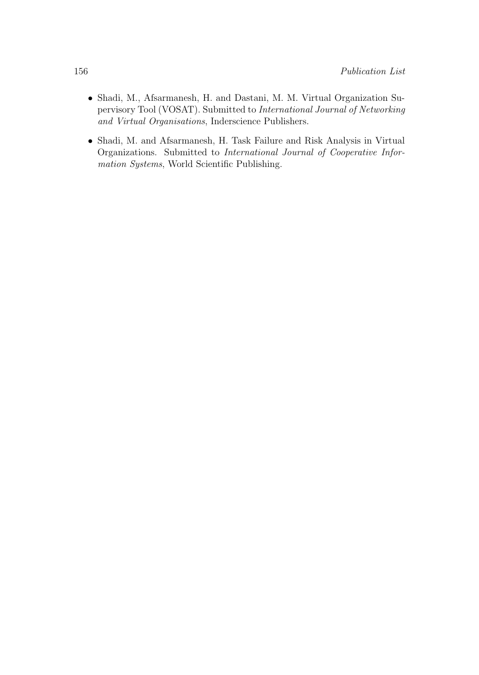- Shadi, M., Afsarmanesh, H. and Dastani, M. M. Virtual Organization Supervisory Tool (VOSAT). Submitted to International Journal of Networking and Virtual Organisations, Inderscience Publishers.
- Shadi, M. and Afsarmanesh, H. Task Failure and Risk Analysis in Virtual Organizations. Submitted to International Journal of Cooperative Information Systems, World Scientific Publishing.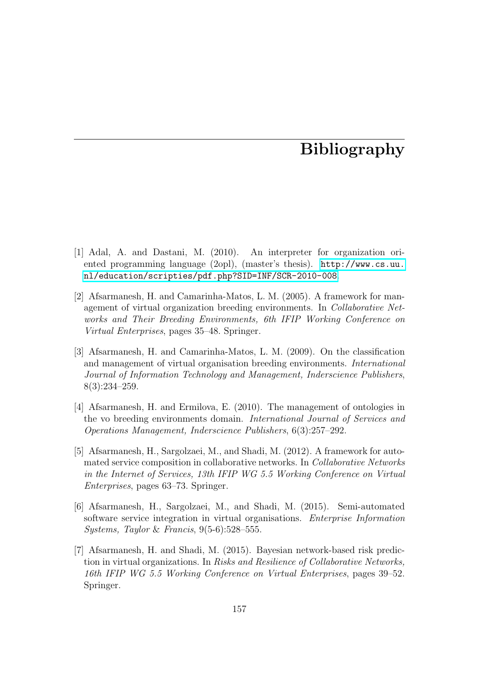## Bibliography

- [1] Adal, A. and Dastani, M. (2010). An interpreter for organization oriented programming language (2opl), (master's thesis). [http://www.cs.uu.](http://www.cs.uu.nl/education/scripties/pdf.php?SID=INF/SCR-2010-008) [nl/education/scripties/pdf.php?SID=INF/SCR-2010-008](http://www.cs.uu.nl/education/scripties/pdf.php?SID=INF/SCR-2010-008).
- [2] Afsarmanesh, H. and Camarinha-Matos, L. M. (2005). A framework for management of virtual organization breeding environments. In Collaborative Networks and Their Breeding Environments, 6th IFIP Working Conference on Virtual Enterprises, pages 35–48. Springer.
- [3] Afsarmanesh, H. and Camarinha-Matos, L. M. (2009). On the classification and management of virtual organisation breeding environments. International Journal of Information Technology and Management, Inderscience Publishers, 8(3):234–259.
- [4] Afsarmanesh, H. and Ermilova, E. (2010). The management of ontologies in the vo breeding environments domain. International Journal of Services and Operations Management, Inderscience Publishers, 6(3):257–292.
- [5] Afsarmanesh, H., Sargolzaei, M., and Shadi, M. (2012). A framework for automated service composition in collaborative networks. In Collaborative Networks in the Internet of Services, 13th IFIP WG 5.5 Working Conference on Virtual Enterprises, pages 63–73. Springer.
- [6] Afsarmanesh, H., Sargolzaei, M., and Shadi, M. (2015). Semi-automated software service integration in virtual organisations. Enterprise Information Systems, Taylor & Francis, 9(5-6):528–555.
- [7] Afsarmanesh, H. and Shadi, M. (2015). Bayesian network-based risk prediction in virtual organizations. In Risks and Resilience of Collaborative Networks, 16th IFIP WG 5.5 Working Conference on Virtual Enterprises, pages 39–52. Springer.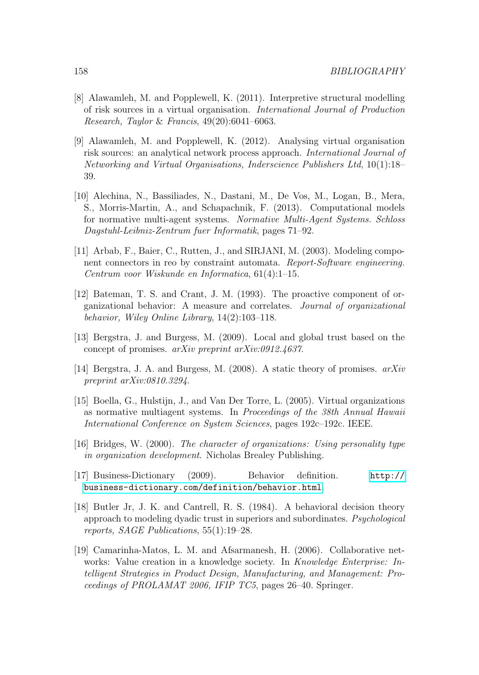- [8] Alawamleh, M. and Popplewell, K. (2011). Interpretive structural modelling of risk sources in a virtual organisation. International Journal of Production Research, Taylor & Francis, 49(20):6041–6063.
- [9] Alawamleh, M. and Popplewell, K. (2012). Analysing virtual organisation risk sources: an analytical network process approach. International Journal of Networking and Virtual Organisations, Inderscience Publishers Ltd, 10(1):18– 39.
- [10] Alechina, N., Bassiliades, N., Dastani, M., De Vos, M., Logan, B., Mera, S., Morris-Martin, A., and Schapachnik, F. (2013). Computational models for normative multi-agent systems. Normative Multi-Agent Systems. Schloss Dagstuhl-Leibniz-Zentrum fuer Informatik, pages 71–92.
- [11] Arbab, F., Baier, C., Rutten, J., and SIRJANI, M. (2003). Modeling component connectors in reo by constraint automata. Report-Software engineering. Centrum voor Wiskunde en Informatica, 61(4):1–15.
- [12] Bateman, T. S. and Crant, J. M. (1993). The proactive component of organizational behavior: A measure and correlates. Journal of organizational behavior, Wiley Online Library, 14(2):103–118.
- [13] Bergstra, J. and Burgess, M. (2009). Local and global trust based on the concept of promises. arXiv preprint arXiv:0912.4637.
- [14] Bergstra, J. A. and Burgess, M. (2008). A static theory of promises. arXiv preprint arXiv:0810.3294.
- [15] Boella, G., Hulstijn, J., and Van Der Torre, L. (2005). Virtual organizations as normative multiagent systems. In Proceedings of the 38th Annual Hawaii International Conference on System Sciences, pages 192c–192c. IEEE.
- [16] Bridges, W. (2000). The character of organizations: Using personality type in organization development. Nicholas Brealey Publishing.
- [17] Business-Dictionary (2009). Behavior definition. [http://](http://business-dictionary.com/definition/behavior.html) [business-dictionary.com/definition/behavior.html](http://business-dictionary.com/definition/behavior.html).
- [18] Butler Jr, J. K. and Cantrell, R. S. (1984). A behavioral decision theory approach to modeling dyadic trust in superiors and subordinates. Psychological reports, SAGE Publications, 55(1):19–28.
- [19] Camarinha-Matos, L. M. and Afsarmanesh, H. (2006). Collaborative networks: Value creation in a knowledge society. In Knowledge Enterprise: Intelligent Strategies in Product Design, Manufacturing, and Management: Proceedings of PROLAMAT 2006, IFIP TC5, pages 26–40. Springer.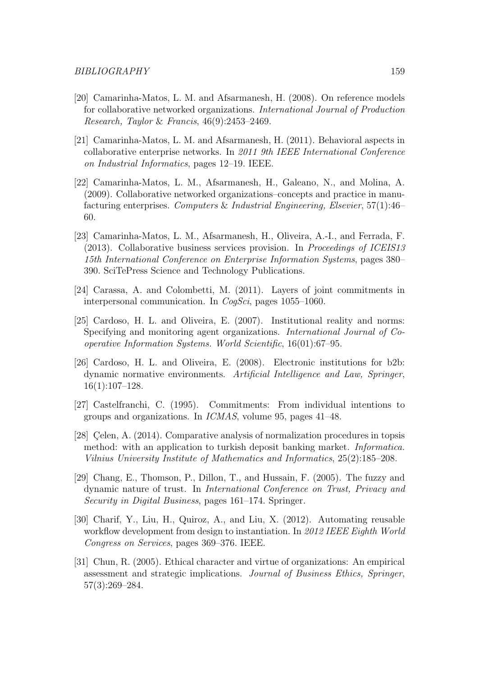- [20] Camarinha-Matos, L. M. and Afsarmanesh, H. (2008). On reference models for collaborative networked organizations. International Journal of Production Research, Taylor & Francis, 46(9):2453–2469.
- [21] Camarinha-Matos, L. M. and Afsarmanesh, H. (2011). Behavioral aspects in collaborative enterprise networks. In 2011 9th IEEE International Conference on Industrial Informatics, pages 12–19. IEEE.
- [22] Camarinha-Matos, L. M., Afsarmanesh, H., Galeano, N., and Molina, A. (2009). Collaborative networked organizations–concepts and practice in manufacturing enterprises. Computers & Industrial Engineering, Elsevier, 57(1):46– 60.
- [23] Camarinha-Matos, L. M., Afsarmanesh, H., Oliveira, A.-I., and Ferrada, F. (2013). Collaborative business services provision. In Proceedings of ICEIS13 15th International Conference on Enterprise Information Systems, pages 380– 390. SciTePress Science and Technology Publications.
- [24] Carassa, A. and Colombetti, M. (2011). Layers of joint commitments in interpersonal communication. In CogSci, pages 1055–1060.
- [25] Cardoso, H. L. and Oliveira, E. (2007). Institutional reality and norms: Specifying and monitoring agent organizations. International Journal of Cooperative Information Systems. World Scientific, 16(01):67–95.
- [26] Cardoso, H. L. and Oliveira, E. (2008). Electronic institutions for b2b: dynamic normative environments. Artificial Intelligence and Law, Springer, 16(1):107–128.
- [27] Castelfranchi, C. (1995). Commitments: From individual intentions to groups and organizations. In ICMAS, volume 95, pages 41–48.
- [28] Celen, A.  $(2014)$ . Comparative analysis of normalization procedures in topsis method: with an application to turkish deposit banking market. Informatica. Vilnius University Institute of Mathematics and Informatics, 25(2):185–208.
- [29] Chang, E., Thomson, P., Dillon, T., and Hussain, F. (2005). The fuzzy and dynamic nature of trust. In International Conference on Trust, Privacy and Security in Digital Business, pages 161–174. Springer.
- [30] Charif, Y., Liu, H., Quiroz, A., and Liu, X. (2012). Automating reusable workflow development from design to instantiation. In 2012 IEEE Eighth World Congress on Services, pages 369–376. IEEE.
- [31] Chun, R. (2005). Ethical character and virtue of organizations: An empirical assessment and strategic implications. Journal of Business Ethics, Springer, 57(3):269–284.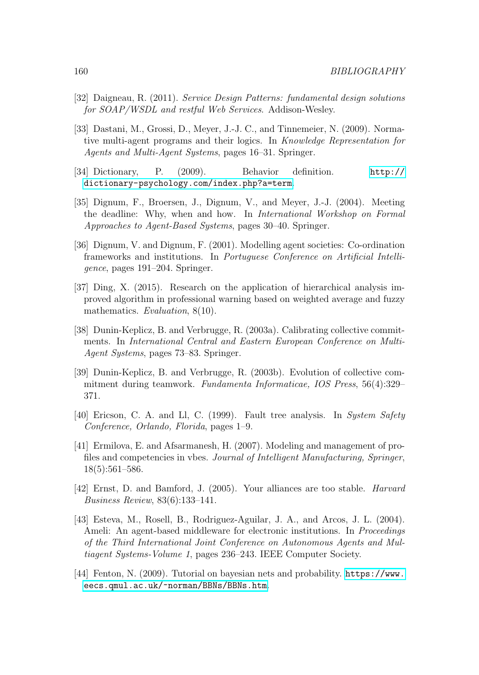- [32] Daigneau, R. (2011). Service Design Patterns: fundamental design solutions for SOAP/WSDL and restful Web Services. Addison-Wesley.
- [33] Dastani, M., Grossi, D., Meyer, J.-J. C., and Tinnemeier, N. (2009). Normative multi-agent programs and their logics. In Knowledge Representation for Agents and Multi-Agent Systems, pages 16–31. Springer.
- [34] Dictionary, P. (2009). Behavior definition. [http://](http://dictionary-psychology.com/index.php?a=term) [dictionary-psychology.com/index.php?a=term](http://dictionary-psychology.com/index.php?a=term).
- [35] Dignum, F., Broersen, J., Dignum, V., and Meyer, J.-J. (2004). Meeting the deadline: Why, when and how. In International Workshop on Formal Approaches to Agent-Based Systems, pages 30–40. Springer.
- [36] Dignum, V. and Dignum, F. (2001). Modelling agent societies: Co-ordination frameworks and institutions. In Portuguese Conference on Artificial Intelligence, pages 191–204. Springer.
- [37] Ding, X. (2015). Research on the application of hierarchical analysis improved algorithm in professional warning based on weighted average and fuzzy mathematics. Evaluation,  $8(10)$ .
- [38] Dunin-Keplicz, B. and Verbrugge, R. (2003a). Calibrating collective commitments. In International Central and Eastern European Conference on Multi-Agent Systems, pages 73–83. Springer.
- [39] Dunin-Keplicz, B. and Verbrugge, R. (2003b). Evolution of collective commitment during teamwork. Fundamenta Informaticae, IOS Press, 56(4):329– 371.
- [40] Ericson, C. A. and Ll, C. (1999). Fault tree analysis. In System Safety Conference, Orlando, Florida, pages 1–9.
- [41] Ermilova, E. and Afsarmanesh, H. (2007). Modeling and management of profiles and competencies in vbes. Journal of Intelligent Manufacturing, Springer, 18(5):561–586.
- [42] Ernst, D. and Bamford, J. (2005). Your alliances are too stable. Harvard Business Review, 83(6):133–141.
- [43] Esteva, M., Rosell, B., Rodriguez-Aguilar, J. A., and Arcos, J. L. (2004). Ameli: An agent-based middleware for electronic institutions. In *Proceedings* of the Third International Joint Conference on Autonomous Agents and Multiagent Systems-Volume 1, pages 236–243. IEEE Computer Society.
- [44] Fenton, N. (2009). Tutorial on bayesian nets and probability. [https://www.](https://www.eecs.qmul.ac.uk/~norman/BBNs/BBNs.htm) [eecs.qmul.ac.uk/~norman/BBNs/BBNs.htm](https://www.eecs.qmul.ac.uk/~norman/BBNs/BBNs.htm).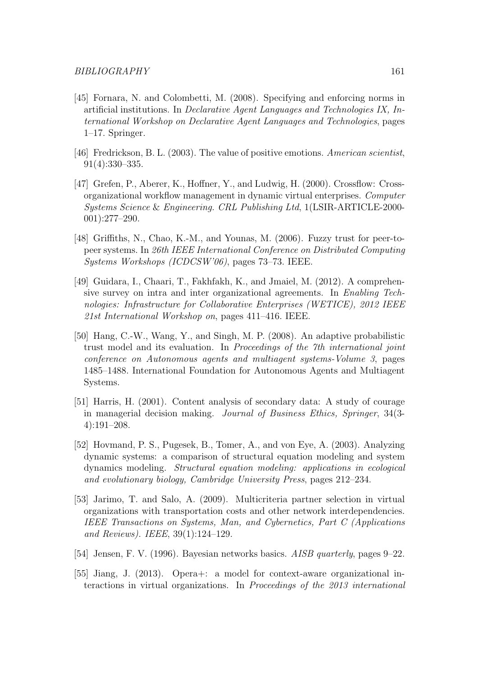- [45] Fornara, N. and Colombetti, M. (2008). Specifying and enforcing norms in artificial institutions. In Declarative Agent Languages and Technologies IX, International Workshop on Declarative Agent Languages and Technologies, pages 1–17. Springer.
- [46] Fredrickson, B. L. (2003). The value of positive emotions. American scientist, 91(4):330–335.
- [47] Grefen, P., Aberer, K., Hoffner, Y., and Ludwig, H. (2000). Crossflow: Crossorganizational workflow management in dynamic virtual enterprises. Computer Systems Science & Engineering. CRL Publishing Ltd, 1(LSIR-ARTICLE-2000- 001):277–290.
- [48] Griffiths, N., Chao, K.-M., and Younas, M. (2006). Fuzzy trust for peer-topeer systems. In 26th IEEE International Conference on Distributed Computing Systems Workshops (ICDCSW'06), pages 73–73. IEEE.
- [49] Guidara, I., Chaari, T., Fakhfakh, K., and Jmaiel, M. (2012). A comprehensive survey on intra and inter organizational agreements. In Enabling Technologies: Infrastructure for Collaborative Enterprises (WETICE), 2012 IEEE 21st International Workshop on, pages 411–416. IEEE.
- [50] Hang, C.-W., Wang, Y., and Singh, M. P. (2008). An adaptive probabilistic trust model and its evaluation. In Proceedings of the 7th international joint conference on Autonomous agents and multiagent systems-Volume 3, pages 1485–1488. International Foundation for Autonomous Agents and Multiagent Systems.
- [51] Harris, H. (2001). Content analysis of secondary data: A study of courage in managerial decision making. Journal of Business Ethics, Springer, 34(3- 4):191–208.
- [52] Hovmand, P. S., Pugesek, B., Tomer, A., and von Eye, A. (2003). Analyzing dynamic systems: a comparison of structural equation modeling and system dynamics modeling. Structural equation modeling: applications in ecological and evolutionary biology, Cambridge University Press, pages 212–234.
- [53] Jarimo, T. and Salo, A. (2009). Multicriteria partner selection in virtual organizations with transportation costs and other network interdependencies. IEEE Transactions on Systems, Man, and Cybernetics, Part C (Applications and Reviews). IEEE, 39(1):124–129.
- [54] Jensen, F. V. (1996). Bayesian networks basics. AISB quarterly, pages 9–22.
- [55] Jiang, J. (2013). Opera+: a model for context-aware organizational interactions in virtual organizations. In Proceedings of the 2013 international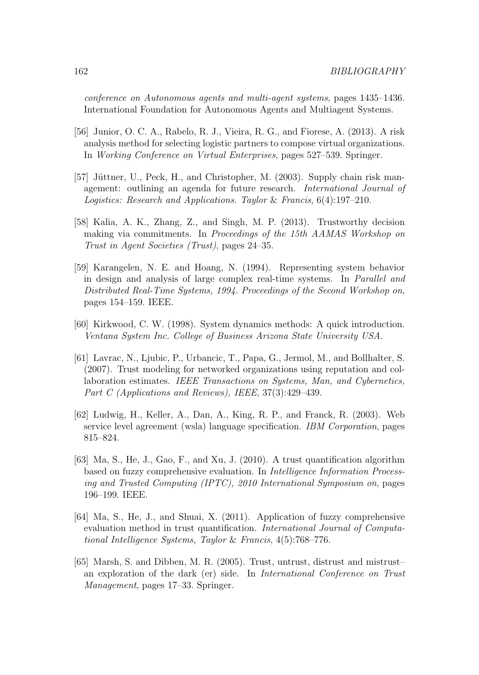conference on Autonomous agents and multi-agent systems, pages 1435–1436. International Foundation for Autonomous Agents and Multiagent Systems.

- [56] Junior, O. C. A., Rabelo, R. J., Vieira, R. G., and Fiorese, A. (2013). A risk analysis method for selecting logistic partners to compose virtual organizations. In Working Conference on Virtual Enterprises, pages 527–539. Springer.
- [57] Jüttner, U., Peck, H., and Christopher, M. (2003). Supply chain risk management: outlining an agenda for future research. International Journal of Logistics: Research and Applications. Taylor & Francis, 6(4):197–210.
- [58] Kalia, A. K., Zhang, Z., and Singh, M. P. (2013). Trustworthy decision making via commitments. In Proceedings of the 15th AAMAS Workshop on Trust in Agent Societies (Trust), pages 24–35.
- [59] Karangelen, N. E. and Hoang, N. (1994). Representing system behavior in design and analysis of large complex real-time systems. In Parallel and Distributed Real-Time Systems, 1994. Proceedings of the Second Workshop on, pages 154–159. IEEE.
- [60] Kirkwood, C. W. (1998). System dynamics methods: A quick introduction. Ventana System Inc. College of Business Arizona State University USA.
- [61] Lavrac, N., Ljubic, P., Urbancic, T., Papa, G., Jermol, M., and Bollhalter, S. (2007). Trust modeling for networked organizations using reputation and collaboration estimates. IEEE Transactions on Systems, Man, and Cybernetics, Part C (Applications and Reviews), IEEE, 37(3):429-439.
- [62] Ludwig, H., Keller, A., Dan, A., King, R. P., and Franck, R. (2003). Web service level agreement (wsla) language specification. IBM Corporation, pages 815–824.
- [63] Ma, S., He, J., Gao, F., and Xu, J. (2010). A trust quantification algorithm based on fuzzy comprehensive evaluation. In Intelligence Information Processing and Trusted Computing (IPTC), 2010 International Symposium on, pages 196–199. IEEE.
- [64] Ma, S., He, J., and Shuai, X. (2011). Application of fuzzy comprehensive evaluation method in trust quantification. International Journal of Computational Intelligence Systems, Taylor & Francis, 4(5):768–776.
- [65] Marsh, S. and Dibben, M. R. (2005). Trust, untrust, distrust and mistrust– an exploration of the dark (er) side. In International Conference on Trust Management, pages 17–33. Springer.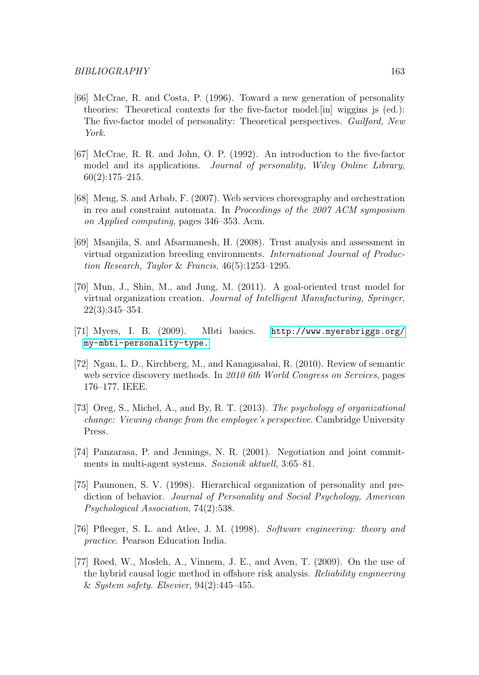- [66] McCrae, R. and Costa, P. (1996). Toward a new generation of personality theories: Theoretical contexts for the five-factor model.[in] wiggins js (ed.): The five-factor model of personality: Theoretical perspectives. Guilford, New York.
- [67] McCrae, R. R. and John, O. P. (1992). An introduction to the five-factor model and its applications. Journal of personality, Wiley Online Library, 60(2):175–215.
- [68] Meng, S. and Arbab, F. (2007). Web services choreography and orchestration in reo and constraint automata. In Proceedings of the 2007 ACM symposium on Applied computing, pages 346–353. Acm.
- [69] Msanjila, S. and Afsarmanesh, H. (2008). Trust analysis and assessment in virtual organization breeding environments. International Journal of Production Research, Taylor & Francis, 46(5):1253–1295.
- [70] Mun, J., Shin, M., and Jung, M. (2011). A goal-oriented trust model for virtual organization creation. Journal of Intelligent Manufacturing, Springer, 22(3):345–354.
- [71] Myers, I. B. (2009). Mbti basics. [http://www.myersbriggs.org/](http://www.myersbriggs.org/my-mbti-personality-type.) [my-mbti-personality-type.](http://www.myersbriggs.org/my-mbti-personality-type.)
- [72] Ngan, L. D., Kirchberg, M., and Kanagasabai, R. (2010). Review of semantic web service discovery methods. In 2010 6th World Congress on Services, pages 176–177. IEEE.
- [73] Oreg, S., Michel, A., and By, R. T. (2013). The psychology of organizational change: Viewing change from the employee's perspective. Cambridge University Press.
- [74] Panzarasa, P. and Jennings, N. R. (2001). Negotiation and joint commitments in multi-agent systems. Sozionik aktuell, 3:65–81.
- [75] Paunonen, S. V. (1998). Hierarchical organization of personality and prediction of behavior. Journal of Personality and Social Psychology, American Psychological Association, 74(2):538.
- [76] Pfleeger, S. L. and Atlee, J. M. (1998). Software engineering: theory and practice. Pearson Education India.
- [77] Røed, W., Mosleh, A., Vinnem, J. E., and Aven, T. (2009). On the use of the hybrid causal logic method in offshore risk analysis. Reliability engineering & System safety. Elsevier, 94(2):445–455.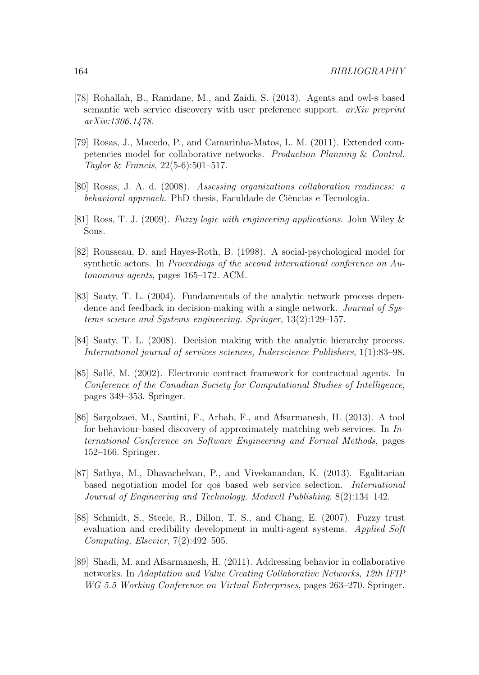- [78] Rohallah, B., Ramdane, M., and Zaidi, S. (2013). Agents and owl-s based semantic web service discovery with user preference support. *arXiv preprint* arXiv:1306.1478.
- [79] Rosas, J., Macedo, P., and Camarinha-Matos, L. M. (2011). Extended competencies model for collaborative networks. Production Planning & Control. Taylor & Francis, 22(5-6):501–517.
- [80] Rosas, J. A. d. (2008). Assessing organizations collaboration readiness: a behavioral approach. PhD thesis, Faculdade de Ciências e Tecnologia.
- [81] Ross, T. J. (2009). Fuzzy logic with engineering applications. John Wiley & Sons.
- [82] Rousseau, D. and Hayes-Roth, B. (1998). A social-psychological model for synthetic actors. In Proceedings of the second international conference on Autonomous agents, pages 165–172. ACM.
- [83] Saaty, T. L. (2004). Fundamentals of the analytic network process dependence and feedback in decision-making with a single network. *Journal of Sys*tems science and Systems engineering. Springer, 13(2):129–157.
- [84] Saaty, T. L. (2008). Decision making with the analytic hierarchy process. International journal of services sciences, Inderscience Publishers, 1(1):83–98.
- [85] Sallé, M. (2002). Electronic contract framework for contractual agents. In Conference of the Canadian Society for Computational Studies of Intelligence, pages 349–353. Springer.
- [86] Sargolzaei, M., Santini, F., Arbab, F., and Afsarmanesh, H. (2013). A tool for behaviour-based discovery of approximately matching web services. In  $In$ ternational Conference on Software Engineering and Formal Methods, pages 152–166. Springer.
- [87] Sathya, M., Dhavachelvan, P., and Vivekanandan, K. (2013). Egalitarian based negotiation model for qos based web service selection. International Journal of Engineering and Technology. Medwell Publishing, 8(2):134–142.
- [88] Schmidt, S., Steele, R., Dillon, T. S., and Chang, E. (2007). Fuzzy trust evaluation and credibility development in multi-agent systems. Applied Soft Computing, Elsevier, 7(2):492–505.
- [89] Shadi, M. and Afsarmanesh, H. (2011). Addressing behavior in collaborative networks. In Adaptation and Value Creating Collaborative Networks, 12th IFIP WG 5.5 Working Conference on Virtual Enterprises, pages 263–270. Springer.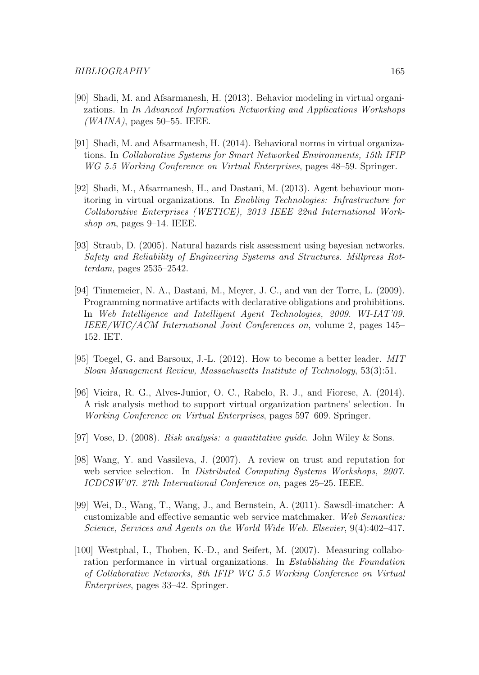- [90] Shadi, M. and Afsarmanesh, H. (2013). Behavior modeling in virtual organizations. In In Advanced Information Networking and Applications Workshops  $(WAINA)$ , pages 50–55. IEEE.
- [91] Shadi, M. and Afsarmanesh, H. (2014). Behavioral norms in virtual organizations. In Collaborative Systems for Smart Networked Environments, 15th IFIP WG 5.5 Working Conference on Virtual Enterprises, pages 48–59. Springer.
- [92] Shadi, M., Afsarmanesh, H., and Dastani, M. (2013). Agent behaviour monitoring in virtual organizations. In Enabling Technologies: Infrastructure for Collaborative Enterprises (WETICE), 2013 IEEE 22nd International Workshop on, pages 9–14. IEEE.
- [93] Straub, D. (2005). Natural hazards risk assessment using bayesian networks. Safety and Reliability of Engineering Systems and Structures. Millpress Rotterdam, pages 2535–2542.
- [94] Tinnemeier, N. A., Dastani, M., Meyer, J. C., and van der Torre, L. (2009). Programming normative artifacts with declarative obligations and prohibitions. In Web Intelligence and Intelligent Agent Technologies, 2009. WI-IAT'09. IEEE/WIC/ACM International Joint Conferences on, volume 2, pages 145– 152. IET.
- [95] Toegel, G. and Barsoux, J.-L. (2012). How to become a better leader. MIT Sloan Management Review, Massachusetts Institute of Technology, 53(3):51.
- [96] Vieira, R. G., Alves-Junior, O. C., Rabelo, R. J., and Fiorese, A. (2014). A risk analysis method to support virtual organization partners' selection. In Working Conference on Virtual Enterprises, pages 597–609. Springer.
- [97] Vose, D. (2008). Risk analysis: a quantitative guide. John Wiley & Sons.
- [98] Wang, Y. and Vassileva, J. (2007). A review on trust and reputation for web service selection. In Distributed Computing Systems Workshops, 2007. ICDCSW'07. 27th International Conference on, pages 25–25. IEEE.
- [99] Wei, D., Wang, T., Wang, J., and Bernstein, A. (2011). Sawsdl-imatcher: A customizable and effective semantic web service matchmaker. Web Semantics: Science, Services and Agents on the World Wide Web. Elsevier, 9(4):402–417.
- [100] Westphal, I., Thoben, K.-D., and Seifert, M. (2007). Measuring collaboration performance in virtual organizations. In Establishing the Foundation of Collaborative Networks, 8th IFIP WG 5.5 Working Conference on Virtual Enterprises, pages 33–42. Springer.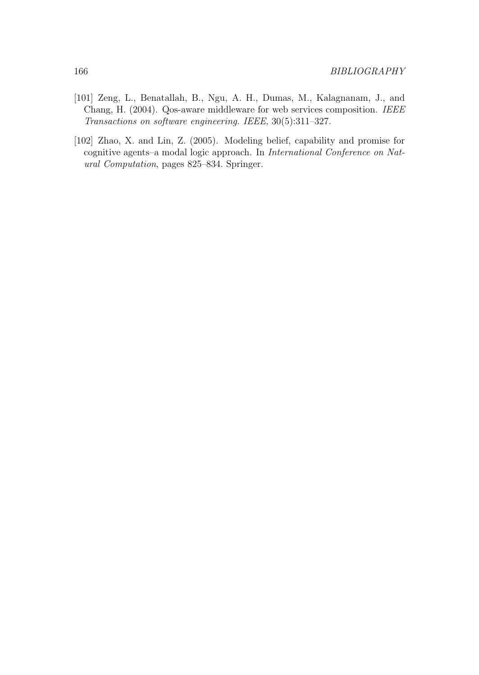- [101] Zeng, L., Benatallah, B., Ngu, A. H., Dumas, M., Kalagnanam, J., and Chang, H. (2004). Qos-aware middleware for web services composition. IEEE Transactions on software engineering. IEEE, 30(5):311–327.
- [102] Zhao, X. and Lin, Z. (2005). Modeling belief, capability and promise for cognitive agents–a modal logic approach. In International Conference on Natural Computation, pages 825–834. Springer.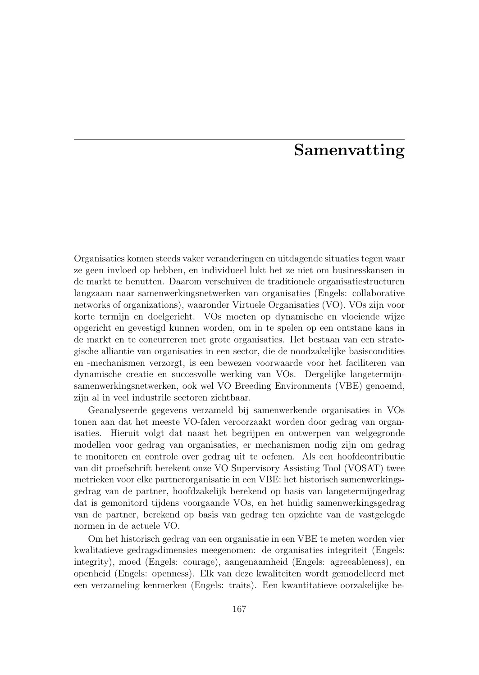### Samenvatting

Organisaties komen steeds vaker veranderingen en uitdagende situaties tegen waar ze geen invloed op hebben, en individueel lukt het ze niet om businesskansen in de markt te benutten. Daarom verschuiven de traditionele organisatiestructuren langzaam naar samenwerkingsnetwerken van organisaties (Engels: collaborative networks of organizations), waaronder Virtuele Organisaties (VO). VOs zijn voor korte termijn en doelgericht. VOs moeten op dynamische en vloeiende wijze opgericht en gevestigd kunnen worden, om in te spelen op een ontstane kans in de markt en te concurreren met grote organisaties. Het bestaan van een strategische alliantie van organisaties in een sector, die de noodzakelijke basiscondities en -mechanismen verzorgt, is een bewezen voorwaarde voor het faciliteren van dynamische creatie en succesvolle werking van VOs. Dergelijke langetermijnsamenwerkingsnetwerken, ook wel VO Breeding Environments (VBE) genoemd, zijn al in veel industrile sectoren zichtbaar.

Geanalyseerde gegevens verzameld bij samenwerkende organisaties in VOs tonen aan dat het meeste VO-falen veroorzaakt worden door gedrag van organisaties. Hieruit volgt dat naast het begrijpen en ontwerpen van welgegronde modellen voor gedrag van organisaties, er mechanismen nodig zijn om gedrag te monitoren en controle over gedrag uit te oefenen. Als een hoofdcontributie van dit proefschrift berekent onze VO Supervisory Assisting Tool (VOSAT) twee metrieken voor elke partnerorganisatie in een VBE: het historisch samenwerkingsgedrag van de partner, hoofdzakelijk berekend op basis van langetermijngedrag dat is gemonitord tijdens voorgaande VOs, en het huidig samenwerkingsgedrag van de partner, berekend op basis van gedrag ten opzichte van de vastgelegde normen in de actuele VO.

Om het historisch gedrag van een organisatie in een VBE te meten worden vier kwalitatieve gedragsdimensies meegenomen: de organisaties integriteit (Engels: integrity), moed (Engels: courage), aangenaamheid (Engels: agreeableness), en openheid (Engels: openness). Elk van deze kwaliteiten wordt gemodelleerd met een verzameling kenmerken (Engels: traits). Een kwantitatieve oorzakelijke be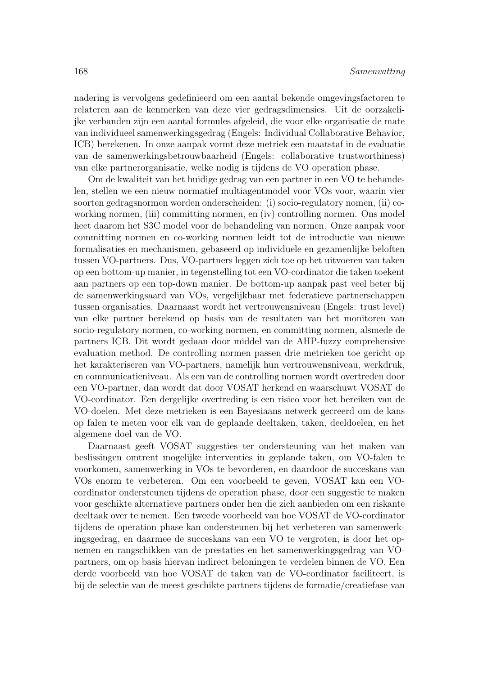nadering is vervolgens gedefinieerd om een aantal bekende omgevingsfactoren te relateren aan de kenmerken van deze vier gedragsdimensies. Uit de oorzakelijke verbanden zijn een aantal formules afgeleid, die voor elke organisatie de mate van individueel samenwerkingsgedrag (Engels: Individual Collaborative Behavior, ICB) berekenen. In onze aanpak vormt deze metriek een maatstaf in de evaluatie van de samenwerkingsbetrouwbaarheid (Engels: collaborative trustworthiness) van elke partnerorganisatie, welke nodig is tijdens de VO operation phase.

Om de kwaliteit van het huidige gedrag van een partner in een VO te behandelen, stellen we een nieuw normatief multiagentmodel voor VOs voor, waarin vier soorten gedragsnormen worden onderscheiden: (i) socio-regulatory nomen, (ii) coworking normen, (iii) committing normen, en (iv) controlling normen. Ons model heet daarom het S3C model voor de behandeling van normen. Onze aanpak voor committing normen en co-working normen leidt tot de introductie van nieuwe formalisaties en mechanismen, gebaseerd op individuele en gezamenlijke beloften tussen VO-partners. Dus, VO-partners leggen zich toe op het uitvoeren van taken op een bottom-up manier, in tegenstelling tot een VO-cordinator die taken toekent aan partners op een top-down manier. De bottom-up aanpak past veel beter bij de samenwerkingsaard van VOs, vergelijkbaar met federatieve partnerschappen tussen organisaties. Daarnaast wordt het vertrouwensniveau (Engels: trust level) van elke partner berekend op basis van de resultaten van het monitoren van socio-regulatory normen, co-working normen, en committing normen, alsmede de partners ICB. Dit wordt gedaan door middel van de AHP-fuzzy comprehensive evaluation method. De controlling normen passen drie metrieken toe gericht op het karakteriseren van VO-partners, namelijk hun vertrouwensniveau, werkdruk, en communicatieniveau. Als een van de controlling normen wordt overtreden door een VO-partner, dan wordt dat door VOSAT herkend en waarschuwt VOSAT de VO-cordinator. Een dergelijke overtreding is een risico voor het bereiken van de VO-doelen. Met deze metrieken is een Bayesiaans netwerk gecreerd om de kans op falen te meten voor elk van de geplande deeltaken, taken, deeldoelen, en het algemene doel van de VO.

Daarnaast geeft VOSAT suggesties ter ondersteuning van het maken van beslissingen omtrent mogelijke interventies in geplande taken, om VO-falen te voorkomen, samenwerking in VOs te bevorderen, en daardoor de succeskans van VOs enorm te verbeteren. Om een voorbeeld te geven, VOSAT kan een VOcordinator ondersteunen tijdens de operation phase, door een suggestie te maken voor geschikte alternatieve partners onder hen die zich aanbieden om een riskante deeltaak over te nemen. Een tweede voorbeeld van hoe VOSAT de VO-cordinator tijdens de operation phase kan ondersteunen bij het verbeteren van samenwerkingsgedrag, en daarmee de succeskans van een VO te vergroten, is door het opnemen en rangschikken van de prestaties en het samenwerkingsgedrag van VOpartners, om op basis hiervan indirect beloningen te verdelen binnen de VO. Een derde voorbeeld van hoe VOSAT de taken van de VO-cordinator faciliteert, is bij de selectie van de meest geschikte partners tijdens de formatie/creatiefase van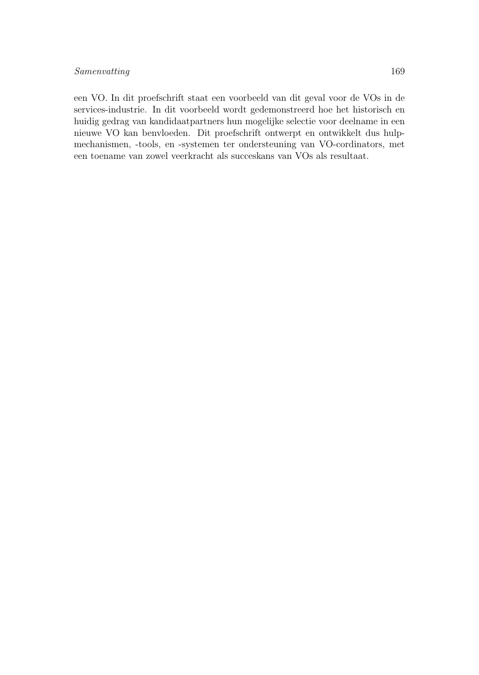#### Samenvatting 169

een VO. In dit proefschrift staat een voorbeeld van dit geval voor de VOs in de services-industrie. In dit voorbeeld wordt gedemonstreerd hoe het historisch en huidig gedrag van kandidaatpartners hun mogelijke selectie voor deelname in een nieuwe VO kan benvloeden. Dit proefschrift ontwerpt en ontwikkelt dus hulpmechanismen, -tools, en -systemen ter ondersteuning van VO-cordinators, met een toename van zowel veerkracht als succeskans van VOs als resultaat.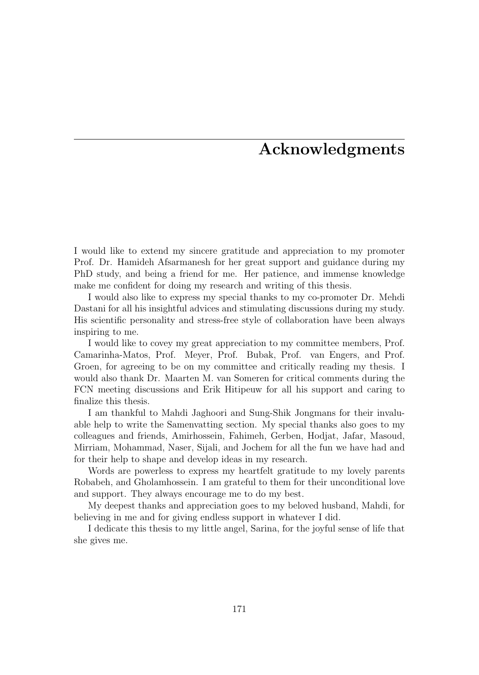## Acknowledgments

I would like to extend my sincere gratitude and appreciation to my promoter Prof. Dr. Hamideh Afsarmanesh for her great support and guidance during my PhD study, and being a friend for me. Her patience, and immense knowledge make me confident for doing my research and writing of this thesis.

I would also like to express my special thanks to my co-promoter Dr. Mehdi Dastani for all his insightful advices and stimulating discussions during my study. His scientific personality and stress-free style of collaboration have been always inspiring to me.

I would like to covey my great appreciation to my committee members, Prof. Camarinha-Matos, Prof. Meyer, Prof. Bubak, Prof. van Engers, and Prof. Groen, for agreeing to be on my committee and critically reading my thesis. I would also thank Dr. Maarten M. van Someren for critical comments during the FCN meeting discussions and Erik Hitipeuw for all his support and caring to finalize this thesis.

I am thankful to Mahdi Jaghoori and Sung-Shik Jongmans for their invaluable help to write the Samenvatting section. My special thanks also goes to my colleagues and friends, Amirhossein, Fahimeh, Gerben, Hodjat, Jafar, Masoud, Mirriam, Mohammad, Naser, Sijali, and Jochem for all the fun we have had and for their help to shape and develop ideas in my research.

Words are powerless to express my heartfelt gratitude to my lovely parents Robabeh, and Gholamhossein. I am grateful to them for their unconditional love and support. They always encourage me to do my best.

My deepest thanks and appreciation goes to my beloved husband, Mahdi, for believing in me and for giving endless support in whatever I did.

I dedicate this thesis to my little angel, Sarina, for the joyful sense of life that she gives me.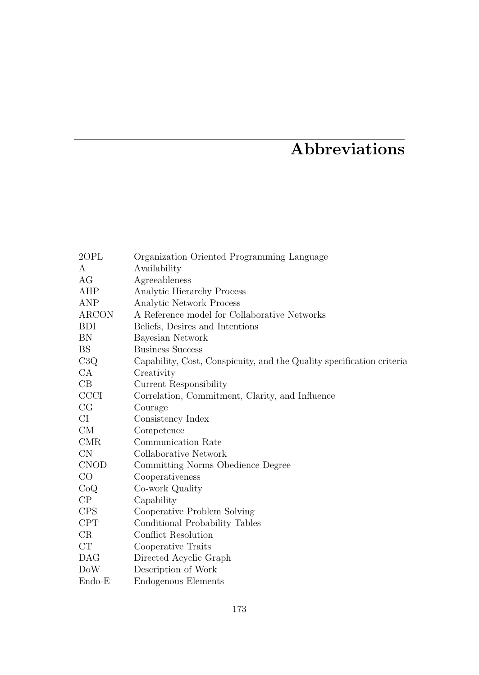# Abbreviations

| $2$ OPL     | Organization Oriented Programming Language                            |
|-------------|-----------------------------------------------------------------------|
| A           | Availability                                                          |
| AG          | Agreeableness                                                         |
| AHP         | Analytic Hierarchy Process                                            |
| ANP         | Analytic Network Process                                              |
| ARCON       | A Reference model for Collaborative Networks                          |
| <b>BDI</b>  | Beliefs, Desires and Intentions                                       |
| BN          | Bayesian Network                                                      |
| BS          | <b>Business Success</b>                                               |
| C3Q         | Capability, Cost, Conspicuity, and the Quality specification criteria |
| CA          | Creativity                                                            |
| CB          | Current Responsibility                                                |
| <b>CCCI</b> | Correlation, Commitment, Clarity, and Influence                       |
| CG          | Courage                                                               |
| СI          | Consistency Index                                                     |
| CM          | Competence                                                            |
| <b>CMR</b>  | Communication Rate                                                    |
| $\text{CN}$ | Collaborative Network                                                 |
| <b>CNOD</b> | Committing Norms Obedience Degree                                     |
| $_{\rm CO}$ | Cooperativeness                                                       |
| CoQ         | Co-work Quality                                                       |
| $\rm CP$    | Capability                                                            |
| <b>CPS</b>  | Cooperative Problem Solving                                           |
| CPT         | Conditional Probability Tables                                        |
| CR          | Conflict Resolution                                                   |
| CT          | Cooperative Traits                                                    |
| <b>DAG</b>  | Directed Acyclic Graph                                                |
| DoW         | Description of Work                                                   |
| $Endo-E$    | Endogenous Elements                                                   |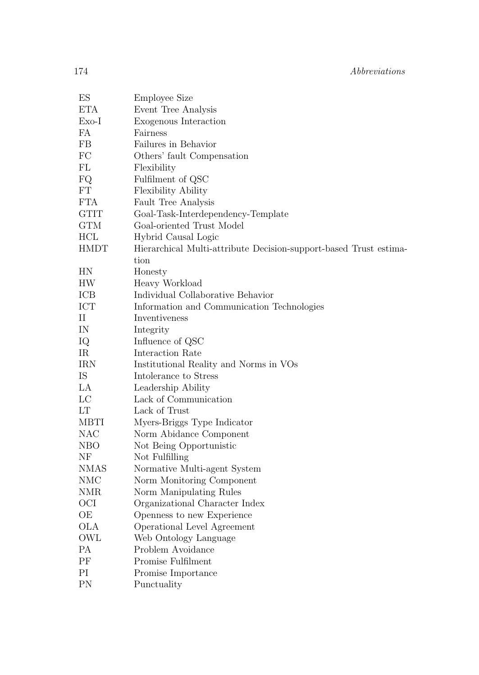| $\mathop{\hbox{\rm ES}}$ | <b>Employee Size</b>                                              |
|--------------------------|-------------------------------------------------------------------|
| <b>ETA</b>               | Event Tree Analysis                                               |
| $Exo-I$                  | Exogenous Interaction                                             |
| FA                       | Fairness                                                          |
| FB                       | Failures in Behavior                                              |
| FC                       | Others' fault Compensation                                        |
| FL                       | Flexibility                                                       |
| FQ.                      | Fulfilment of QSC                                                 |
| FT                       | Flexibility Ability                                               |
| FTA                      | Fault Tree Analysis                                               |
| GTIT                     | Goal-Task-Interdependency-Template                                |
| GTM                      | Goal-oriented Trust Model                                         |
| HCL                      | Hybrid Causal Logic                                               |
| HMDT                     | Hierarchical Multi-attribute Decision-support-based Trust estima- |
|                          | tion                                                              |
| ΗN                       | Honesty                                                           |
| HW                       | Heavy Workload                                                    |
| ICB                      | Individual Collaborative Behavior                                 |
| ICT                      | Information and Communication Technologies                        |
| П                        | Inventiveness                                                     |
| IN                       | Integrity                                                         |
| IQ                       | Influence of QSC                                                  |
| IR                       | Interaction Rate                                                  |
| IRN                      | Institutional Reality and Norms in VOs                            |
| IS                       | Intolerance to Stress                                             |
| LA                       | Leadership Ability                                                |
| LC                       | Lack of Communication                                             |
| LТ                       | Lack of Trust                                                     |
| MBTI                     | Myers-Briggs Type Indicator                                       |
| NAC                      | Norm Abidance Component                                           |
| NBO                      | Not Being Opportunistic                                           |
| ΝF                       | Not Fulfilling                                                    |
| NMAS                     | Normative Multi-agent System                                      |
| NMC                      | Norm Monitoring Component                                         |
| NMR                      | Norm Manipulating Rules                                           |
| OСI                      | Organizational Character Index                                    |
| ОE                       | Openness to new Experience                                        |
| OLA                      | Operational Level Agreement                                       |
| OWL                      | Web Ontology Language                                             |
| РA                       | Problem Avoidance                                                 |
| ΡF                       | Promise Fulfilment                                                |
| РI                       | Promise Importance                                                |
| PN                       | Punctuality                                                       |
|                          |                                                                   |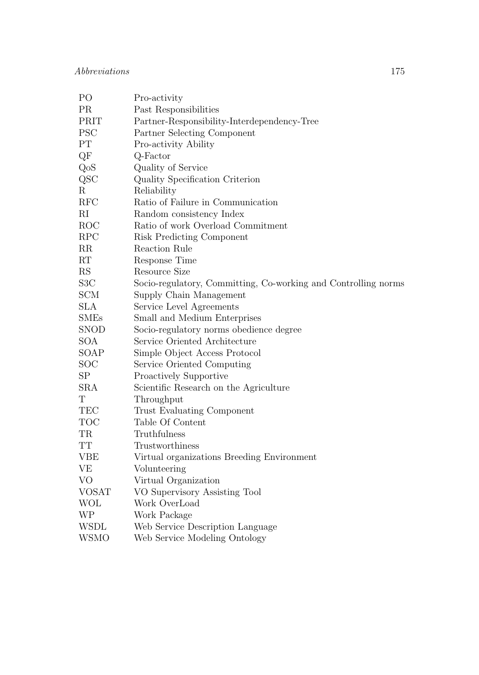| P <sub>O</sub>      | Pro-activity                                                   |
|---------------------|----------------------------------------------------------------|
| PR                  | Past Responsibilities                                          |
| PRIT                | Partner-Responsibility-Interdependency-Tree                    |
| <b>PSC</b>          | Partner Selecting Component                                    |
| PT                  | Pro-activity Ability                                           |
| QF                  | Q-Factor                                                       |
| QoS                 | Quality of Service                                             |
| QSC                 | Quality Specification Criterion                                |
| R                   | Reliability                                                    |
| RFC                 | Ratio of Failure in Communication                              |
| $\rm RI$            | Random consistency Index                                       |
| ROC                 | Ratio of work Overload Commitment                              |
| RPC                 | Risk Predicting Component                                      |
| RR                  | Reaction Rule                                                  |
| RT                  | Response Time                                                  |
| RS                  | Resource Size                                                  |
| S <sub>3</sub> C    | Socio-regulatory, Committing, Co-working and Controlling norms |
| <b>SCM</b>          | Supply Chain Management                                        |
| <b>SLA</b>          | Service Level Agreements                                       |
| <b>SMEs</b>         | Small and Medium Enterprises                                   |
| <b>SNOD</b>         | Socio-regulatory norms obedience degree                        |
| <b>SOA</b>          | Service Oriented Architecture                                  |
| SOAP                | Simple Object Access Protocol                                  |
| SOC                 | Service Oriented Computing                                     |
| SP                  | Proactively Supportive                                         |
| <b>SRA</b>          | Scientific Research on the Agriculture                         |
| T                   | Throughput                                                     |
| TEC                 | Trust Evaluating Component                                     |
| <b>TOC</b>          | Table Of Content                                               |
| $\operatorname{TR}$ | Truthfulness                                                   |
| TT                  | Trustworthiness                                                |
| <b>VBE</b>          | Virtual organizations Breeding Environment                     |
| <b>VE</b>           | Volunteering                                                   |
| VO                  | Virtual Organization                                           |
| <b>VOSAT</b>        | VO Supervisory Assisting Tool                                  |
| WOL                 | Work OverLoad                                                  |
| WP                  | Work Package                                                   |
| <b>WSDL</b>         | Web Service Description Language                               |
| <b>WSMO</b>         | Web Service Modeling Ontology                                  |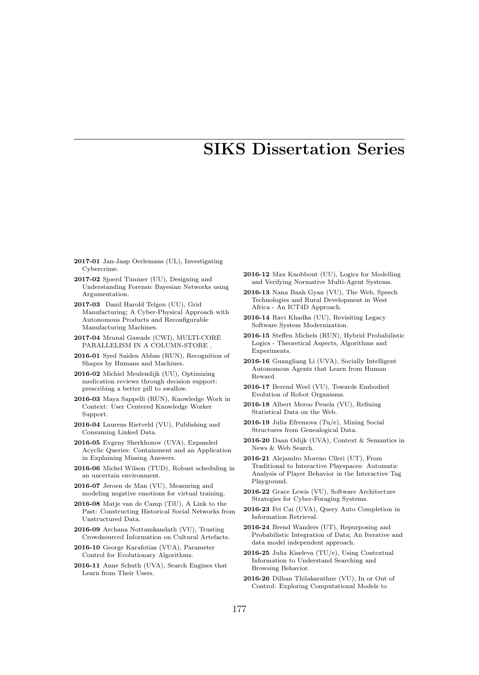## SIKS Dissertation Series

- 2017-01 Jan-Jaap Oerlemans (UL), Investigating Cybercrime.
- 2017-02 Sjoerd Timmer (UU), Designing and Understanding Forensic Bayesian Networks using Argumentation.
- 2017-03 Danil Harold Telgen (UU), Grid Manufacturing; A Cyber-Physical Approach with Autonomous Products and Reconfigurable Manufacturing Machines.
- 2017-04 Mrunal Gawade (CWI), MULTI-CORE PARALLELISM IN A COLUMN-STORE .
- 2016-01 Syed Saiden Abbas (RUN), Recognition of Shapes by Humans and Machines.
- 2016-02 Michiel Meulendijk (UU), Optimizing medication reviews through decision support: prescribing a better pill to swallow.
- 2016-03 Maya Sappelli (RUN), Knowledge Work in Context: User Centered Knowledge Worker Support.
- 2016-04 Laurens Rietveld (VU), Publishing and Consuming Linked Data.
- 2016-05 Evgeny Sherkhonov (UVA), Expanded Acyclic Queries: Containment and an Application in Explaining Missing Answers.
- 2016-06 Michel Wilson (TUD), Robust scheduling in an uncertain environment.
- 2016-07 Jeroen de Man (VU), Measuring and modeling negative emotions for virtual training.
- 2016-08 Matje van de Camp (TiU), A Link to the Past: Constructing Historical Social Networks from Unstructured Data.
- 2016-09 Archana Nottamkandath (VU), Trusting Crowdsourced Information on Cultural Artefacts.
- 2016-10 George Karafotias (VUA), Parameter Control for Evolutionary Algorithms.
- 2016-11 Anne Schuth (UVA), Search Engines that Learn from Their Users.
- 2016-12 Max Knobbout (UU), Logics for Modelling and Verifying Normative Multi-Agent Systems.
- 2016-13 Nana Baah Gyan (VU), The Web, Speech Technologies and Rural Development in West Africa - An ICT4D Approach.
- 2016-14 Ravi Khadka (UU), Revisiting Legacy Software System Modernization.
- 2016-15 Steffen Michels (RUN), Hybrid Probabilistic Logics - Theoretical Aspects, Algorithms and Experiments.
- 2016-16 Guangliang Li (UVA), Socially Intelligent Autonomous Agents that Learn from Human Reward.
- 2016-17 Berend Weel (VU), Towards Embodied Evolution of Robot Organisms.
- 2016-18 Albert Meroo Peuela (VU), Refining Statistical Data on the Web.
- 2016-19 Julia Efremova (Tu/e), Mining Social Structures from Genealogical Data.
- 2016-20 Daan Odijk (UVA), Context & Semantics in News & Web Search.
- 2016-21 Alejandro Moreno Clleri (UT), From Traditional to Interactive Playspaces: Automatic Analysis of Player Behavior in the Interactive Tag Playground.
- 2016-22 Grace Lewis (VU), Software Architecture Strategies for Cyber-Foraging Systems.
- 2016-23 Fei Cai (UVA), Query Auto Completion in Information Retrieval.
- 2016-24 Brend Wanders (UT), Repurposing and Probabilistic Integration of Data; An Iterative and data model independent approach.
- 2016-25 Julia Kiseleva (TU/e), Using Contextual Information to Understand Searching and Browsing Behavior.
- 2016-26 Dilhan Thilakarathne (VU), In or Out of Control: Exploring Computational Models to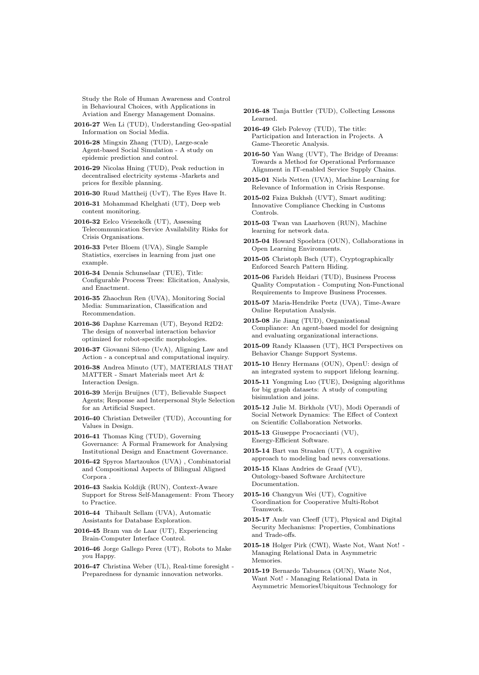Study the Role of Human Awareness and Control in Behavioural Choices, with Applications in Aviation and Energy Management Domains.

- 2016-27 Wen Li (TUD), Understanding Geo-spatial Information on Social Media.
- 2016-28 Mingxin Zhang (TUD), Large-scale Agent-based Social Simulation - A study on epidemic prediction and control.
- 2016-29 Nicolas Hning (TUD), Peak reduction in decentralised electricity systems -Markets and prices for flexible planning.
- 2016-30 Ruud Mattheij (UvT), The Eyes Have It.
- 2016-31 Mohammad Khelghati (UT), Deep web content monitoring.

2016-32 Eelco Vriezekolk (UT), Assessing Telecommunication Service Availability Risks for Crisis Organisations.

- 2016-33 Peter Bloem (UVA), Single Sample Statistics, exercises in learning from just one example.
- 2016-34 Dennis Schunselaar (TUE), Title: Configurable Process Trees: Elicitation, Analysis, and Enactment.
- 2016-35 Zhaochun Ren (UVA), Monitoring Social Media: Summarization, Classification and Recommendation.
- 2016-36 Daphne Karreman (UT), Beyond R2D2: The design of nonverbal interaction behavior optimized for robot-specific morphologies.
- 2016-37 Giovanni Sileno (UvA), Aligning Law and Action - a conceptual and computational inquiry.
- 2016-38 Andrea Minuto (UT), MATERIALS THAT MATTER - Smart Materials meet Art & Interaction Design.
- 2016-39 Merijn Bruijnes (UT), Believable Suspect Agents; Response and Interpersonal Style Selection for an Artificial Suspect.
- 2016-40 Christian Detweiler (TUD), Accounting for Values in Design.
- 2016-41 Thomas King (TUD), Governing Governance: A Formal Framework for Analysing Institutional Design and Enactment Governance.
- 2016-42 Spyros Martzoukos (UVA) , Combinatorial and Compositional Aspects of Bilingual Aligned Corpora .
- 2016-43 Saskia Koldijk (RUN), Context-Aware Support for Stress Self-Management: From Theory to Practice.
- 2016-44 Thibault Sellam (UVA), Automatic Assistants for Database Exploration.
- 2016-45 Bram van de Laar (UT), Experiencing Brain-Computer Interface Control.
- 2016-46 Jorge Gallego Perez (UT), Robots to Make you Happy.
- 2016-47 Christina Weber (UL), Real-time foresight Preparedness for dynamic innovation networks.
- 2016-48 Tanja Buttler (TUD), Collecting Lessons Learned.
- 2016-49 Gleb Polevoy (TUD), The title: Participation and Interaction in Projects. A Game-Theoretic Analysis.
- 2016-50 Yan Wang (UVT), The Bridge of Dreams: Towards a Method for Operational Performance Alignment in IT-enabled Service Supply Chains.
- 2015-01 Niels Netten (UVA), Machine Learning for Relevance of Information in Crisis Response.
- 2015-02 Faiza Bukhsh (UVT), Smart auditing: Innovative Compliance Checking in Customs Controls.
- 2015-03 Twan van Laarhoven (RUN), Machine learning for network data.
- 2015-04 Howard Spoelstra (OUN), Collaborations in Open Learning Environments.
- 2015-05 Christoph Bsch (UT), Cryptographically Enforced Search Pattern Hiding.
- 2015-06 Farideh Heidari (TUD), Business Process Quality Computation - Computing Non-Functional Requirements to Improve Business Processes.
- 2015-07 Maria-Hendrike Peetz (UVA), Time-Aware Online Reputation Analysis.
- 2015-08 Jie Jiang (TUD), Organizational Compliance: An agent-based model for designing and evaluating organizational interactions.
- 2015-09 Randy Klaassen (UT), HCI Perspectives on Behavior Change Support Systems.
- 2015-10 Henry Hermans (OUN), OpenU: design of an integrated system to support lifelong learning.
- 2015-11 Yongming Luo (TUE), Designing algorithms for big graph datasets: A study of computing bisimulation and joins.
- 2015-12 Julie M. Birkholz (VU), Modi Operandi of Social Network Dynamics: The Effect of Context on Scientific Collaboration Networks.
- 2015-13 Giuseppe Procaccianti (VU), Energy-Efficient Software.
- 2015-14 Bart van Straalen (UT), A cognitive approach to modeling bad news conversations.
- 2015-15 Klaas Andries de Graaf (VU), Ontology-based Software Architecture Documentation.
- 2015-16 Changyun Wei (UT), Cognitive Coordination for Cooperative Multi-Robot Teamwork.
- 2015-17 Andr van Cleeff (UT), Physical and Digital Security Mechanisms: Properties, Combinations and Trade-offs.
- 2015-18 Holger Pirk (CWI), Waste Not, Want Not! Managing Relational Data in Asymmetric Memories.
- 2015-19 Bernardo Tabuenca (OUN), Waste Not, Want Not! - Managing Relational Data in Asymmetric MemoriesUbiquitous Technology for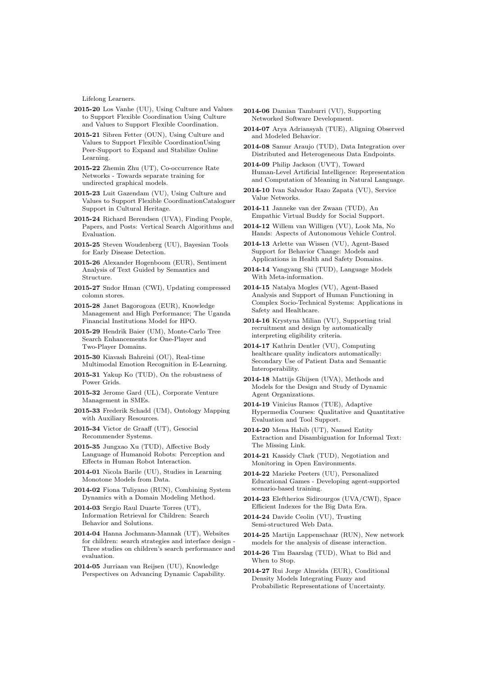Lifelong Learners.

- 2015-20 Los Vanhe (UU), Using Culture and Values to Support Flexible Coordination Using Culture and Values to Support Flexible Coordination.
- 2015-21 Sibren Fetter (OUN), Using Culture and Values to Support Flexible CoordinationUsing Peer-Support to Expand and Stabilize Online Learning.
- 2015-22 Zhemin Zhu (UT), Co-occurrence Rate Networks - Towards separate training for undirected graphical models.
- 2015-23 Luit Gazendam (VU), Using Culture and Values to Support Flexible CoordinationCataloguer Support in Cultural Heritage.
- 2015-24 Richard Berendsen (UVA), Finding People, Papers, and Posts: Vertical Search Algorithms and Evaluation.
- 2015-25 Steven Woudenberg (UU), Bayesian Tools for Early Disease Detection.
- 2015-26 Alexander Hogenboom (EUR), Sentiment Analysis of Text Guided by Semantics and Structure.
- 2015-27 Sndor Hman (CWI), Updating compressed colomn stores.
- 2015-28 Janet Bagorogoza (EUR), Knowledge Management and High Performance; The Uganda Financial Institutions Model for HPO.
- 2015-29 Hendrik Baier (UM), Monte-Carlo Tree Search Enhancements for One-Player and Two-Player Domains.
- 2015-30 Kiavash Bahreini (OU), Real-time Multimodal Emotion Recognition in E-Learning.
- 2015-31 Yakup Ko (TUD), On the robustness of Power Grids.
- 2015-32 Jerome Gard (UL), Corporate Venture Management in SMEs.
- 2015-33 Frederik Schadd (UM), Ontology Mapping with Auxiliary Resources.
- 2015-34 Victor de Graaff (UT), Gesocial Recommender Systems.
- 2015-35 Jungxao Xu (TUD), Affective Body Language of Humanoid Robots: Perception and Effects in Human Robot Interaction.
- 2014-01 Nicola Barile (UU), Studies in Learning Monotone Models from Data.
- 2014-02 Fiona Tuliyano (RUN), Combining System Dynamics with a Domain Modeling Method.
- 2014-03 Sergio Raul Duarte Torres (UT), Information Retrieval for Children: Search Behavior and Solutions.
- 2014-04 Hanna Jochmann-Mannak (UT), Websites for children: search strategies and interface design - Three studies on children's search performance and evaluation.
- 2014-05 Jurriaan van Reijsen (UU), Knowledge Perspectives on Advancing Dynamic Capability.
- 2014-06 Damian Tamburri (VU), Supporting Networked Software Development.
- 2014-07 Arya Adriansyah (TUE), Aligning Observed and Modeled Behavior.
- 2014-08 Samur Araujo (TUD), Data Integration over Distributed and Heterogeneous Data Endpoints.
- 2014-09 Philip Jackson (UVT), Toward Human-Level Artificial Intelligence: Representation and Computation of Meaning in Natural Language.
- 2014-10 Ivan Salvador Razo Zapata (VU), Service Value Networks.
- 2014-11 Janneke van der Zwaan (TUD), An Empathic Virtual Buddy for Social Support.
- 2014-12 Willem van Willigen (VU), Look Ma, No Hands: Aspects of Autonomous Vehicle Control.
- 2014-13 Arlette van Wissen (VU), Agent-Based Support for Behavior Change: Models and Applications in Health and Safety Domains.
- 2014-14 Yangyang Shi (TUD), Language Models With Meta-information.
- 2014-15 Natalya Mogles (VU), Agent-Based Analysis and Support of Human Functioning in Complex Socio-Technical Systems: Applications in Safety and Healthcare.
- 2014-16 Krystyna Milian (VU), Supporting trial recruitment and design by automatically interpreting eligibility criteria.
- 2014-17 Kathrin Dentler (VU), Computing healthcare quality indicators automatically: Secondary Use of Patient Data and Semantic Interoperability.
- 2014-18 Mattijs Ghijsen (UVA), Methods and Models for the Design and Study of Dynamic Agent Organizations.
- 2014-19 Vinicius Ramos (TUE), Adaptive Hypermedia Courses: Qualitative and Quantitative Evaluation and Tool Support.
- 2014-20 Mena Habib (UT), Named Entity Extraction and Disambiguation for Informal Text: The Missing Link.
- 2014-21 Kassidy Clark (TUD), Negotiation and Monitoring in Open Environments.
- 2014-22 Marieke Peeters (UU), Personalized Educational Games - Developing agent-supported scenario-based training.
- 2014-23 Eleftherios Sidirourgos (UVA/CWI), Space Efficient Indexes for the Big Data Era.
- 2014-24 Davide Ceolin (VU), Trusting Semi-structured Web Data.
- 2014-25 Martijn Lappenschaar (RUN), New network models for the analysis of disease interaction.
- 2014-26 Tim Baarslag (TUD), What to Bid and When to Stop.
- 2014-27 Rui Jorge Almeida (EUR), Conditional Density Models Integrating Fuzzy and Probabilistic Representations of Uncertainty.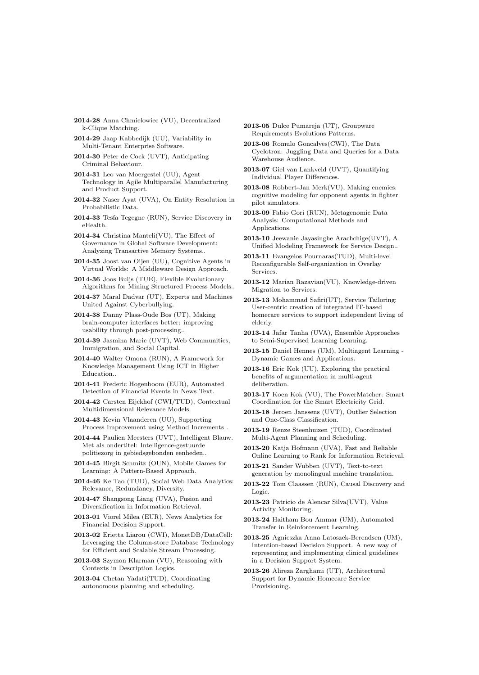- 2014-28 Anna Chmielowiec (VU), Decentralized k-Clique Matching.
- 2014-29 Jaap Kabbedijk (UU), Variability in Multi-Tenant Enterprise Software.
- 2014-30 Peter de Cock (UVT), Anticipating Criminal Behaviour.
- 2014-31 Leo van Moergestel (UU), Agent Technology in Agile Multiparallel Manufacturing and Product Support.
- 2014-32 Naser Ayat (UVA), On Entity Resolution in Probabilistic Data.
- 2014-33 Tesfa Tegegne (RUN), Service Discovery in eHealth.
- 2014-34 Christina Manteli(VU), The Effect of Governance in Global Software Development: Analyzing Transactive Memory Systems..
- 2014-35 Joost van Oijen (UU), Cognitive Agents in Virtual Worlds: A Middleware Design Approach.
- 2014-36 Joos Buijs (TUE), Flexible Evolutionary Algorithms for Mining Structured Process Models..
- 2014-37 Maral Dadvar (UT), Experts and Machines United Against Cyberbullying.
- 2014-38 Danny Plass-Oude Bos (UT), Making brain-computer interfaces better: improving usability through post-processing..
- 2014-39 Jasmina Maric (UVT), Web Communities, Immigration, and Social Capital.
- 2014-40 Walter Omona (RUN), A Framework for Knowledge Management Using ICT in Higher Education..
- 2014-41 Frederic Hogenboom (EUR), Automated Detection of Financial Events in News Text.
- 2014-42 Carsten Eijckhof (CWI/TUD), Contextual Multidimensional Relevance Models.
- 2014-43 Kevin Vlaanderen (UU), Supporting Process Improvement using Method Increments .
- 2014-44 Paulien Meesters (UVT), Intelligent Blauw. Met als ondertitel: Intelligence-gestuurde politiezorg in gebiedsgebonden eenheden..
- 2014-45 Birgit Schmitz (OUN), Mobile Games for Learning: A Pattern-Based Approach.
- 2014-46 Ke Tao (TUD), Social Web Data Analytics: Relevance, Redundancy, Diversity.
- 2014-47 Shangsong Liang (UVA), Fusion and Diversification in Information Retrieval.
- 2013-01 Viorel Milea (EUR), News Analytics for Financial Decision Support.
- 2013-02 Erietta Liarou (CWI), MonetDB/DataCell: Leveraging the Column-store Database Technology for Efficient and Scalable Stream Processing.
- 2013-03 Szymon Klarman (VU), Reasoning with Contexts in Description Logics.
- 2013-04 Chetan Yadati(TUD), Coordinating autonomous planning and scheduling.
- 2013-05 Dulce Pumareja (UT), Groupware Requirements Evolutions Patterns.
- 2013-06 Romulo Goncalves(CWI), The Data Cyclotron: Juggling Data and Queries for a Data Warehouse Audience.
- 2013-07 Giel van Lankveld (UVT), Quantifying Individual Player Differences.
- 2013-08 Robbert-Jan Merk(VU), Making enemies: cognitive modeling for opponent agents in fighter pilot simulators.
- 2013-09 Fabio Gori (RUN), Metagenomic Data Analysis: Computational Methods and Applications.
- 2013-10 Jeewanie Jayasinghe Arachchige(UVT), A Unified Modeling Framework for Service Design..
- 2013-11 Evangelos Pournaras(TUD), Multi-level Reconfigurable Self-organization in Overlay Services.
- 2013-12 Marian Razavian(VU), Knowledge-driven Migration to Services.
- 2013-13 Mohammad Safiri(UT), Service Tailoring: User-centric creation of integrated IT-based homecare services to support independent living of elderly.
- 2013-14 Jafar Tanha (UVA), Ensemble Approaches to Semi-Supervised Learning Learning.
- 2013-15 Daniel Hennes (UM), Multiagent Learning Dynamic Games and Applications.
- 2013-16 Eric Kok (UU), Exploring the practical benefits of argumentation in multi-agent deliberation.
- 2013-17 Koen Kok (VU), The PowerMatcher: Smart Coordination for the Smart Electricity Grid.
- 2013-18 Jeroen Janssens (UVT), Outlier Selection and One-Class Classification.
- 2013-19 Renze Steenhuizen (TUD), Coordinated Multi-Agent Planning and Scheduling.
- 2013-20 Katja Hofmann (UVA), Fast and Reliable Online Learning to Rank for Information Retrieval.
- 2013-21 Sander Wubben (UVT), Text-to-text generation by monolingual machine translation.
- 2013-22 Tom Claassen (RUN), Causal Discovery and Logic.
- 2013-23 Patricio de Alencar Silva(UVT), Value Activity Monitoring.
- 2013-24 Haitham Bou Ammar (UM), Automated Transfer in Reinforcement Learning.
- 2013-25 Agnieszka Anna Latoszek-Berendsen (UM), Intention-based Decision Support. A new way of representing and implementing clinical guidelines in a Decision Support System.
- 2013-26 Alireza Zarghami (UT), Architectural Support for Dynamic Homecare Service Provisioning.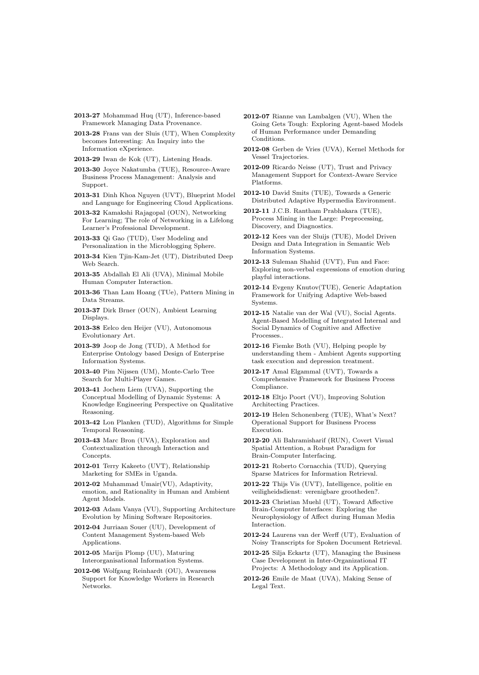- 2013-27 Mohammad Huq (UT), Inference-based Framework Managing Data Provenance.
- 2013-28 Frans van der Sluis (UT), When Complexity becomes Interesting: An Inquiry into the Information eXperience.

2013-29 Iwan de Kok (UT), Listening Heads.

- 2013-30 Joyce Nakatumba (TUE), Resource-Aware Business Process Management: Analysis and Support.
- 2013-31 Dinh Khoa Nguyen (UVT), Blueprint Model and Language for Engineering Cloud Applications.
- 2013-32 Kamakshi Rajagopal (OUN), Networking For Learning; The role of Networking in a Lifelong Learner's Professional Development.
- 2013-33 Qi Gao (TUD), User Modeling and Personalization in the Microblogging Sphere.
- 2013-34 Kien Tjin-Kam-Jet (UT), Distributed Deep Web Search.
- 2013-35 Abdallah El Ali (UVA), Minimal Mobile Human Computer Interaction.
- 2013-36 Than Lam Hoang (TUe), Pattern Mining in Data Streams.
- 2013-37 Dirk Brner (OUN), Ambient Learning Displays.
- 2013-38 Eelco den Heijer (VU), Autonomous Evolutionary Art.
- 2013-39 Joop de Jong (TUD), A Method for Enterprise Ontology based Design of Enterprise Information Systems.
- 2013-40 Pim Nijssen (UM), Monte-Carlo Tree Search for Multi-Player Games.
- 2013-41 Jochem Liem (UVA), Supporting the Conceptual Modelling of Dynamic Systems: A Knowledge Engineering Perspective on Qualitative Reasoning.
- 2013-42 Lon Planken (TUD), Algorithms for Simple Temporal Reasoning.
- 2013-43 Marc Bron (UVA), Exploration and Contextualization through Interaction and Concepts.
- 2012-01 Terry Kakeeto (UVT), Relationship Marketing for SMEs in Uganda.
- 2012-02 Muhammad Umair(VU), Adaptivity, emotion, and Rationality in Human and Ambient Agent Models.
- 2012-03 Adam Vanya (VU), Supporting Architecture Evolution by Mining Software Repositories.
- 2012-04 Jurriaan Souer (UU), Development of Content Management System-based Web Applications.
- 2012-05 Marijn Plomp (UU), Maturing Interorganisational Information Systems.
- 2012-06 Wolfgang Reinhardt (OU), Awareness Support for Knowledge Workers in Research Networks.
- 2012-07 Rianne van Lambalgen (VU), When the Going Gets Tough: Exploring Agent-based Models of Human Performance under Demanding Conditions.
- 2012-08 Gerben de Vries (UVA), Kernel Methods for Vessel Trajectories.
- 2012-09 Ricardo Neisse (UT), Trust and Privacy Management Support for Context-Aware Service Platforms.
- 2012-10 David Smits (TUE), Towards a Generic Distributed Adaptive Hypermedia Environment.
- 2012-11 J.C.B. Rantham Prabhakara (TUE), Process Mining in the Large: Preprocessing, Discovery, and Diagnostics.
- 2012-12 Kees van der Sluijs (TUE), Model Driven Design and Data Integration in Semantic Web Information Systems.
- 2012-13 Suleman Shahid (UVT), Fun and Face: Exploring non-verbal expressions of emotion during playful interactions.
- 2012-14 Evgeny Knutov(TUE), Generic Adaptation Framework for Unifying Adaptive Web-based Systems.
- 2012-15 Natalie van der Wal (VU), Social Agents. Agent-Based Modelling of Integrated Internal and Social Dynamics of Cognitive and Affective Processes..
- 2012-16 Fiemke Both (VU), Helping people by understanding them - Ambient Agents supporting task execution and depression treatment.
- 2012-17 Amal Elgammal (UVT), Towards a Comprehensive Framework for Business Process Compliance.
- 2012-18 Eltjo Poort (VU), Improving Solution Architecting Practices.
- 2012-19 Helen Schonenberg (TUE), What's Next? Operational Support for Business Process Execution.
- 2012-20 Ali Bahramisharif (RUN), Covert Visual Spatial Attention, a Robust Paradigm for Brain-Computer Interfacing.
- 2012-21 Roberto Cornacchia (TUD), Querying Sparse Matrices for Information Retrieval.
- 2012-22 Thijs Vis (UVT), Intelligence, politie en veiligheidsdienst: verenigbare grootheden?.
- 2012-23 Christian Muehl (UT), Toward Affective Brain-Computer Interfaces: Exploring the Neurophysiology of Affect during Human Media Interaction.
- 2012-24 Laurens van der Werff (UT), Evaluation of Noisy Transcripts for Spoken Document Retrieval.
- 2012-25 Silja Eckartz (UT), Managing the Business Case Development in Inter-Organizational IT Projects: A Methodology and its Application.
- 2012-26 Emile de Maat (UVA), Making Sense of Legal Text.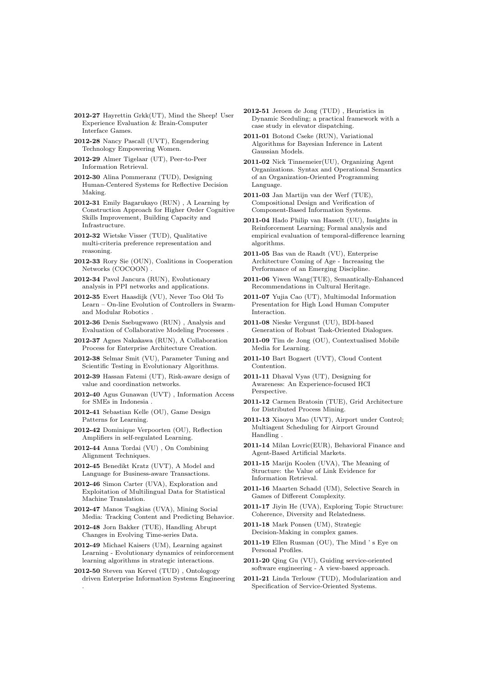- 2012-27 Hayrettin Grkk(UT), Mind the Sheep! User Experience Evaluation & Brain-Computer Interface Games.
- 2012-28 Nancy Pascall (UVT), Engendering Technology Empowering Women.
- 2012-29 Almer Tigelaar (UT), Peer-to-Peer Information Retrieval.
- 2012-30 Alina Pommeranz (TUD), Designing Human-Centered Systems for Reflective Decision Making.
- 2012-31 Emily Bagarukayo (RUN) , A Learning by Construction Approach for Higher Order Cognitive Skills Improvement, Building Capacity and Infrastructure.
- 2012-32 Wietske Visser (TUD), Qualitative multi-criteria preference representation and reasoning.
- 2012-33 Rory Sie (OUN), Coalitions in Cooperation Networks (COCOON) .
- 2012-34 Pavol Jancura (RUN), Evolutionary analysis in PPI networks and applications.
- 2012-35 Evert Haasdijk (VU), Never Too Old To Learn – On-line Evolution of Controllers in Swarmand Modular Robotics .
- 2012-36 Denis Ssebugwawo (RUN) , Analysis and Evaluation of Collaborative Modeling Processes .
- 2012-37 Agnes Nakakawa (RUN), A Collaboration Process for Enterprise Architecture Creation.
- 2012-38 Selmar Smit (VU), Parameter Tuning and Scientific Testing in Evolutionary Algorithms.
- 2012-39 Hassan Fatemi (UT), Risk-aware design of value and coordination networks.
- 2012-40 Agus Gunawan (UVT) , Information Access for SMEs in Indonesia .
- 2012-41 Sebastian Kelle (OU), Game Design Patterns for Learning.
- 2012-42 Dominique Verpoorten (OU), Reflection Amplifiers in self-regulated Learning.
- 2012-44 Anna Tordai (VU) , On Combining Alignment Techniques.
- 2012-45 Benedikt Kratz (UVT), A Model and Language for Business-aware Transactions.
- 2012-46 Simon Carter (UVA), Exploration and Exploitation of Multilingual Data for Statistical Machine Translation.
- 2012-47 Manos Tsagkias (UVA), Mining Social Media: Tracking Content and Predicting Behavior.
- 2012-48 Jorn Bakker (TUE), Handling Abrupt Changes in Evolving Time-series Data.
- 2012-49 Michael Kaisers (UM), Learning against Learning - Evolutionary dynamics of reinforcement learning algorithms in strategic interactions.
- 2012-50 Steven van Kervel (TUD) , Ontologogy driven Enterprise Information Systems Engineering .
- 2012-51 Jeroen de Jong (TUD) , Heuristics in Dynamic Sceduling; a practical framework with a case study in elevator dispatching.
- 2011-01 Botond Cseke (RUN), Variational Algorithms for Bayesian Inference in Latent Gaussian Models.
- 2011-02 Nick Tinnemeier(UU), Organizing Agent Organizations. Syntax and Operational Semantics of an Organization-Oriented Programming Language.
- 2011-03 Jan Martijn van der Werf (TUE), Compositional Design and Verification of Component-Based Information Systems.
- 2011-04 Hado Philip van Hasselt (UU), Insights in Reinforcement Learning; Formal analysis and empirical evaluation of temporal-difference learning algorithms.
- 2011-05 Bas van de Raadt (VU), Enterprise Architecture Coming of Age - Increasing the Performance of an Emerging Discipline.
- 2011-06 Yiwen Wang(TUE), Semantically-Enhanced Recommendations in Cultural Heritage.
- 2011-07 Yujia Cao (UT), Multimodal Information Presentation for High Load Human Computer Interaction.
- 2011-08 Nieske Vergunst (UU), BDI-based Generation of Robust Task-Oriented Dialogues.
- 2011-09 Tim de Jong (OU), Contextualised Mobile Media for Learning.
- 2011-10 Bart Bogaert (UVT), Cloud Content Contention.
- 2011-11 Dhaval Vyas (UT), Designing for Awareness: An Experience-focused HCI Perspective.
- 2011-12 Carmen Bratosin (TUE), Grid Architecture for Distributed Process Mining.
- 2011-13 Xiaoyu Mao (UVT), Airport under Control; Multiagent Scheduling for Airport Ground Handling .
- 2011-14 Milan Lovric(EUR), Behavioral Finance and Agent-Based Artificial Markets.
- 2011-15 Marijn Koolen (UVA), The Meaning of Structure: the Value of Link Evidence for Information Retrieval.
- 2011-16 Maarten Schadd (UM), Selective Search in Games of Different Complexity.
- 2011-17 Jiyin He (UVA), Exploring Topic Structure: Coherence, Diversity and Relatedness.
- 2011-18 Mark Ponsen (UM), Strategic Decision-Making in complex games.
- 2011-19 Ellen Rusman (OU), The Mind ' s Eye on Personal Profiles.
- 2011-20 Qing Gu (VU), Guiding service-oriented software engineering - A view-based approach.
- 2011-21 Linda Terlouw (TUD), Modularization and Specification of Service-Oriented Systems.